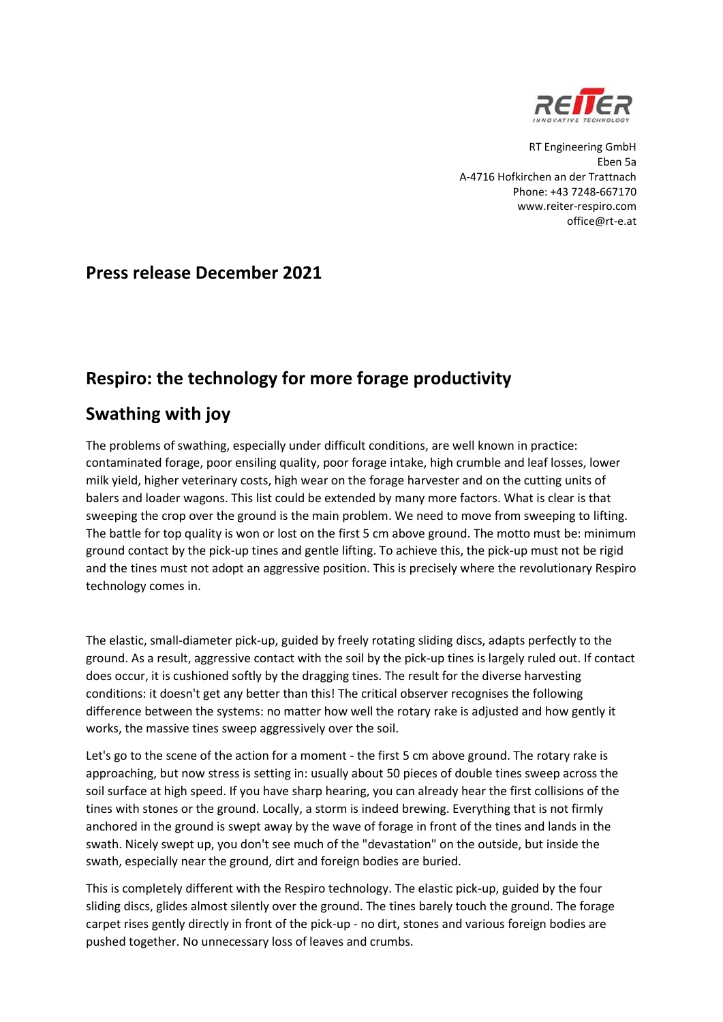

RT Engineering GmbH Eben 5a A-4716 Hofkirchen an der Trattnach Phone: +43 7248-667170 www.reiter-respiro.com office@rt-e.at

## **Press release December 2021**

## **Respiro: the technology for more forage productivity**

## **Swathing with joy**

The problems of swathing, especially under difficult conditions, are well known in practice: contaminated forage, poor ensiling quality, poor forage intake, high crumble and leaf losses, lower milk yield, higher veterinary costs, high wear on the forage harvester and on the cutting units of balers and loader wagons. This list could be extended by many more factors. What is clear is that sweeping the crop over the ground is the main problem. We need to move from sweeping to lifting. The battle for top quality is won or lost on the first 5 cm above ground. The motto must be: minimum ground contact by the pick-up tines and gentle lifting. To achieve this, the pick-up must not be rigid and the tines must not adopt an aggressive position. This is precisely where the revolutionary Respiro technology comes in.

The elastic, small-diameter pick-up, guided by freely rotating sliding discs, adapts perfectly to the ground. As a result, aggressive contact with the soil by the pick-up tines is largely ruled out. If contact does occur, it is cushioned softly by the dragging tines. The result for the diverse harvesting conditions: it doesn't get any better than this! The critical observer recognises the following difference between the systems: no matter how well the rotary rake is adjusted and how gently it works, the massive tines sweep aggressively over the soil.

Let's go to the scene of the action for a moment - the first 5 cm above ground. The rotary rake is approaching, but now stress is setting in: usually about 50 pieces of double tines sweep across the soil surface at high speed. If you have sharp hearing, you can already hear the first collisions of the tines with stones or the ground. Locally, a storm is indeed brewing. Everything that is not firmly anchored in the ground is swept away by the wave of forage in front of the tines and lands in the swath. Nicely swept up, you don't see much of the "devastation" on the outside, but inside the swath, especially near the ground, dirt and foreign bodies are buried.

This is completely different with the Respiro technology. The elastic pick-up, guided by the four sliding discs, glides almost silently over the ground. The tines barely touch the ground. The forage carpet rises gently directly in front of the pick-up - no dirt, stones and various foreign bodies are pushed together. No unnecessary loss of leaves and crumbs.